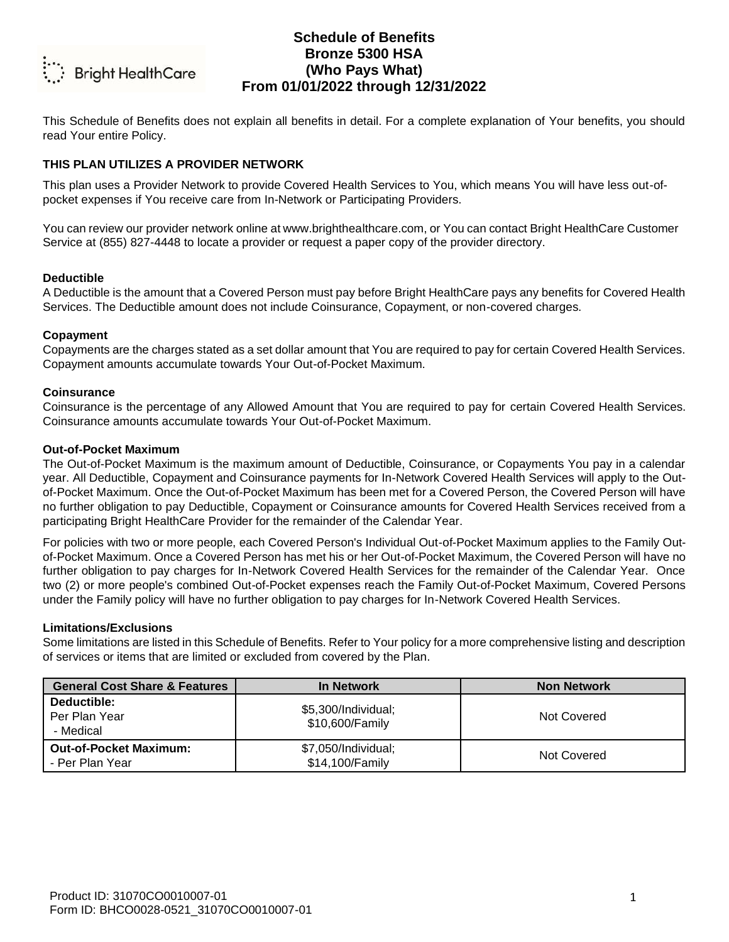

This Schedule of Benefits does not explain all benefits in detail. For a complete explanation of Your benefits, you should read Your entire Policy.

### **THIS PLAN UTILIZES A PROVIDER NETWORK**

This plan uses a Provider Network to provide Covered Health Services to You, which means You will have less out-ofpocket expenses if You receive care from In-Network or Participating Providers.

You can review our provider network online at www.brighthealthcare.com, or You can contact Bright HealthCare Customer Service at (855) 827-4448 to locate a provider or request a paper copy of the provider directory.

### **Deductible**

A Deductible is the amount that a Covered Person must pay before Bright HealthCare pays any benefits for Covered Health Services. The Deductible amount does not include Coinsurance, Copayment, or non-covered charges.

### **Copayment**

Copayments are the charges stated as a set dollar amount that You are required to pay for certain Covered Health Services. Copayment amounts accumulate towards Your Out-of-Pocket Maximum.

### **Coinsurance**

Coinsurance is the percentage of any Allowed Amount that You are required to pay for certain Covered Health Services. Coinsurance amounts accumulate towards Your Out-of-Pocket Maximum.

### **Out-of-Pocket Maximum**

The Out-of-Pocket Maximum is the maximum amount of Deductible, Coinsurance, or Copayments You pay in a calendar year. All Deductible, Copayment and Coinsurance payments for In-Network Covered Health Services will apply to the Outof-Pocket Maximum. Once the Out-of-Pocket Maximum has been met for a Covered Person, the Covered Person will have no further obligation to pay Deductible, Copayment or Coinsurance amounts for Covered Health Services received from a participating Bright HealthCare Provider for the remainder of the Calendar Year.

For policies with two or more people, each Covered Person's Individual Out-of-Pocket Maximum applies to the Family Outof-Pocket Maximum. Once a Covered Person has met his or her Out-of-Pocket Maximum, the Covered Person will have no further obligation to pay charges for In-Network Covered Health Services for the remainder of the Calendar Year. Once two (2) or more people's combined Out-of-Pocket expenses reach the Family Out-of-Pocket Maximum, Covered Persons under the Family policy will have no further obligation to pay charges for In-Network Covered Health Services.

#### **Limitations/Exclusions**

Some limitations are listed in this Schedule of Benefits. Refer to Your policy for a more comprehensive listing and description of services or items that are limited or excluded from covered by the Plan.

| <b>General Cost Share &amp; Features</b>         | <b>In Network</b>                      | <b>Non Network</b> |
|--------------------------------------------------|----------------------------------------|--------------------|
| Deductible:<br>Per Plan Year<br>- Medical        | \$5,300/Individual;<br>\$10,600/Family | Not Covered        |
| <b>Out-of-Pocket Maximum:</b><br>- Per Plan Year | \$7,050/Individual;<br>\$14,100/Family | Not Covered        |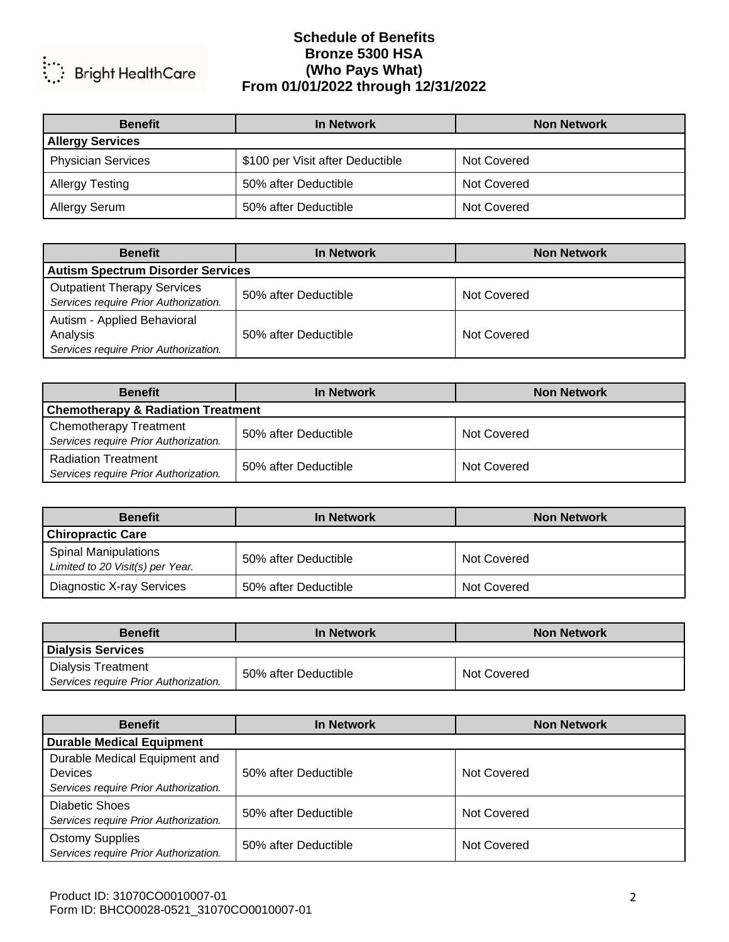

| <b>Benefit</b>            | In Network                       | <b>Non Network</b> |
|---------------------------|----------------------------------|--------------------|
| <b>Allergy Services</b>   |                                  |                    |
| <b>Physician Services</b> | \$100 per Visit after Deductible | Not Covered        |
| <b>Allergy Testing</b>    | 50% after Deductible             | Not Covered        |
| Allergy Serum             | 50% after Deductible             | Not Covered        |

| <b>Benefit</b>                                                                   | <b>In Network</b>                        | <b>Non Network</b> |  |
|----------------------------------------------------------------------------------|------------------------------------------|--------------------|--|
|                                                                                  | <b>Autism Spectrum Disorder Services</b> |                    |  |
| <b>Outpatient Therapy Services</b><br>Services require Prior Authorization.      | 50% after Deductible                     | Not Covered        |  |
| Autism - Applied Behavioral<br>Analysis<br>Services require Prior Authorization. | 50% after Deductible                     | Not Covered        |  |

| <b>Benefit</b>                                                         | In Network           | <b>Non Network</b> |
|------------------------------------------------------------------------|----------------------|--------------------|
| <b>Chemotherapy &amp; Radiation Treatment</b>                          |                      |                    |
| <b>Chemotherapy Treatment</b><br>Services require Prior Authorization. | 50% after Deductible | Not Covered        |
| <b>Radiation Treatment</b><br>Services require Prior Authorization.    | 50% after Deductible | Not Covered        |

| <b>Benefit</b>                                                  | <b>In Network</b>    | <b>Non Network</b> |
|-----------------------------------------------------------------|----------------------|--------------------|
| <b>Chiropractic Care</b>                                        |                      |                    |
| <b>Spinal Manipulations</b><br>Limited to 20 Visit(s) per Year. | 50% after Deductible | Not Covered        |
| Diagnostic X-ray Services                                       | 50% after Deductible | Not Covered        |

| <b>Benefit</b>                                                     | In Network           | <b>Non Network</b> |
|--------------------------------------------------------------------|----------------------|--------------------|
| <b>Dialysis Services</b>                                           |                      |                    |
| <b>Dialysis Treatment</b><br>Services require Prior Authorization. | 50% after Deductible | Not Covered        |

| <b>Benefit</b>                        | <b>In Network</b>    | <b>Non Network</b> |
|---------------------------------------|----------------------|--------------------|
| <b>Durable Medical Equipment</b>      |                      |                    |
| Durable Medical Equipment and         |                      |                    |
| <b>Devices</b>                        | 50% after Deductible | Not Covered        |
| Services require Prior Authorization. |                      |                    |
| <b>Diabetic Shoes</b>                 |                      |                    |
| Services require Prior Authorization. | 50% after Deductible | Not Covered        |
| <b>Ostomy Supplies</b>                |                      |                    |
| Services require Prior Authorization. | 50% after Deductible | Not Covered        |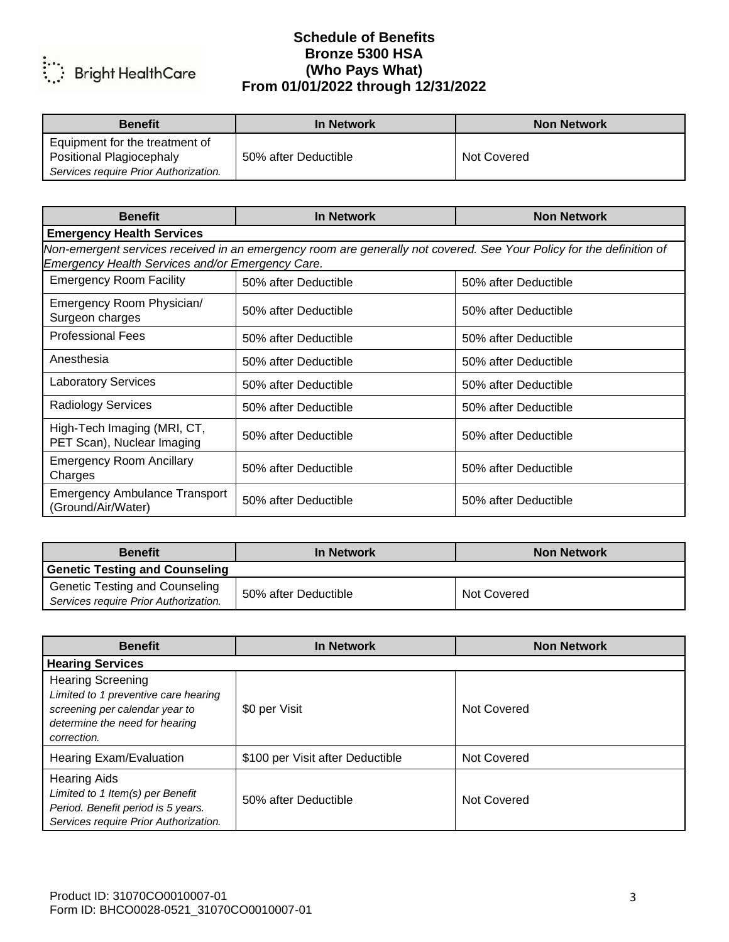

| <b>Benefit</b>                                                    | In Network           | <b>Non Network</b> |
|-------------------------------------------------------------------|----------------------|--------------------|
| Equipment for the treatment of<br><b>Positional Plagiocephaly</b> | 50% after Deductible | Not Covered        |
| Services require Prior Authorization.                             |                      |                    |

| <b>Benefit</b>                                             | <b>In Network</b>                                                                                                    | <b>Non Network</b>   |
|------------------------------------------------------------|----------------------------------------------------------------------------------------------------------------------|----------------------|
| <b>Emergency Health Services</b>                           |                                                                                                                      |                      |
| Emergency Health Services and/or Emergency Care.           | Non-emergent services received in an emergency room are generally not covered. See Your Policy for the definition of |                      |
| <b>Emergency Room Facility</b>                             | 50% after Deductible                                                                                                 | 50% after Deductible |
| Emergency Room Physician/<br>Surgeon charges               | 50% after Deductible                                                                                                 | 50% after Deductible |
| <b>Professional Fees</b>                                   | 50% after Deductible                                                                                                 | 50% after Deductible |
| Anesthesia                                                 | 50% after Deductible                                                                                                 | 50% after Deductible |
| <b>Laboratory Services</b>                                 | 50% after Deductible                                                                                                 | 50% after Deductible |
| <b>Radiology Services</b>                                  | 50% after Deductible                                                                                                 | 50% after Deductible |
| High-Tech Imaging (MRI, CT,<br>PET Scan), Nuclear Imaging  | 50% after Deductible                                                                                                 | 50% after Deductible |
| <b>Emergency Room Ancillary</b><br>Charges                 | 50% after Deductible                                                                                                 | 50% after Deductible |
| <b>Emergency Ambulance Transport</b><br>(Ground/Air/Water) | 50% after Deductible                                                                                                 | 50% after Deductible |

| <b>Benefit</b>                        | In Network           | <b>Non Network</b> |
|---------------------------------------|----------------------|--------------------|
| Genetic Testing and Counseling        |                      |                    |
| <b>Genetic Testing and Counseling</b> | 50% after Deductible | Not Covered        |
| Services require Prior Authorization. |                      |                    |

| <b>Benefit</b>                                                                                                                                      | <b>In Network</b>                | <b>Non Network</b> |
|-----------------------------------------------------------------------------------------------------------------------------------------------------|----------------------------------|--------------------|
| <b>Hearing Services</b>                                                                                                                             |                                  |                    |
| <b>Hearing Screening</b><br>Limited to 1 preventive care hearing<br>screening per calendar year to<br>determine the need for hearing<br>correction. | \$0 per Visit                    | Not Covered        |
| Hearing Exam/Evaluation                                                                                                                             | \$100 per Visit after Deductible | Not Covered        |
| <b>Hearing Aids</b><br>Limited to 1 Item(s) per Benefit<br>Period. Benefit period is 5 years.<br>Services require Prior Authorization.              | 50% after Deductible             | Not Covered        |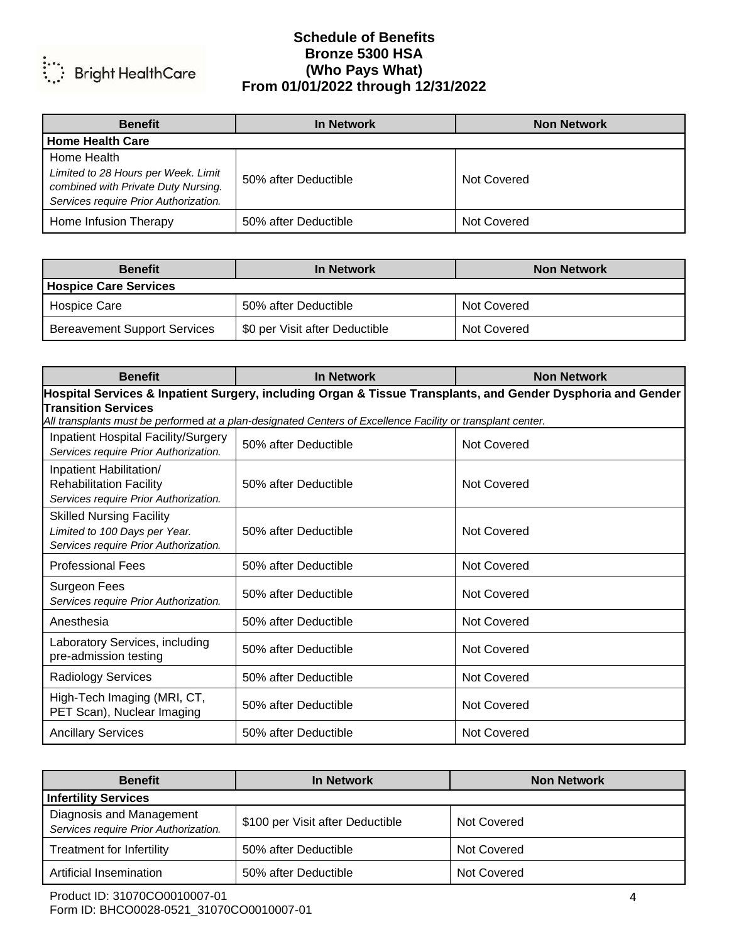

| <b>Benefit</b>                                                                                                                     | In Network           | <b>Non Network</b> |
|------------------------------------------------------------------------------------------------------------------------------------|----------------------|--------------------|
| <b>Home Health Care</b>                                                                                                            |                      |                    |
| Home Health<br>Limited to 28 Hours per Week. Limit<br>combined with Private Duty Nursing.<br>Services require Prior Authorization. | 50% after Deductible | Not Covered        |
| Home Infusion Therapy                                                                                                              | 50% after Deductible | Not Covered        |

| <b>Benefit</b>                      | In Network                     | <b>Non Network</b> |
|-------------------------------------|--------------------------------|--------------------|
| <b>Hospice Care Services</b>        |                                |                    |
| Hospice Care                        | 50% after Deductible           | Not Covered        |
| <b>Bereavement Support Services</b> | \$0 per Visit after Deductible | Not Covered        |

| <b>Benefit</b>                                                                                               | <b>In Network</b>                                                                                           | <b>Non Network</b> |
|--------------------------------------------------------------------------------------------------------------|-------------------------------------------------------------------------------------------------------------|--------------------|
| Hospital Services & Inpatient Surgery, including Organ & Tissue Transplants, and Gender Dysphoria and Gender |                                                                                                             |                    |
| <b>Transition Services</b>                                                                                   | All transplants must be performed at a plan-designated Centers of Excellence Facility or transplant center. |                    |
| Inpatient Hospital Facility/Surgery<br>Services require Prior Authorization.                                 | 50% after Deductible                                                                                        | Not Covered        |
| Inpatient Habilitation/<br><b>Rehabilitation Facility</b><br>Services require Prior Authorization.           | 50% after Deductible                                                                                        | <b>Not Covered</b> |
| <b>Skilled Nursing Facility</b><br>Limited to 100 Days per Year.<br>Services require Prior Authorization.    | 50% after Deductible                                                                                        | Not Covered        |
| <b>Professional Fees</b>                                                                                     | 50% after Deductible                                                                                        | Not Covered        |
| <b>Surgeon Fees</b><br>Services require Prior Authorization.                                                 | 50% after Deductible                                                                                        | Not Covered        |
| Anesthesia                                                                                                   | 50% after Deductible                                                                                        | Not Covered        |
| Laboratory Services, including<br>pre-admission testing                                                      | 50% after Deductible                                                                                        | Not Covered        |
| <b>Radiology Services</b>                                                                                    | 50% after Deductible                                                                                        | Not Covered        |
| High-Tech Imaging (MRI, CT,<br>PET Scan), Nuclear Imaging                                                    | 50% after Deductible                                                                                        | Not Covered        |
| <b>Ancillary Services</b>                                                                                    | 50% after Deductible                                                                                        | Not Covered        |

| <b>Benefit</b>                                                    | In Network                       | <b>Non Network</b> |
|-------------------------------------------------------------------|----------------------------------|--------------------|
| <b>Infertility Services</b>                                       |                                  |                    |
| Diagnosis and Management<br>Services require Prior Authorization. | \$100 per Visit after Deductible | Not Covered        |
| Treatment for Infertility                                         | 50% after Deductible             | Not Covered        |
| <b>Artificial Insemination</b>                                    | 50% after Deductible             | Not Covered        |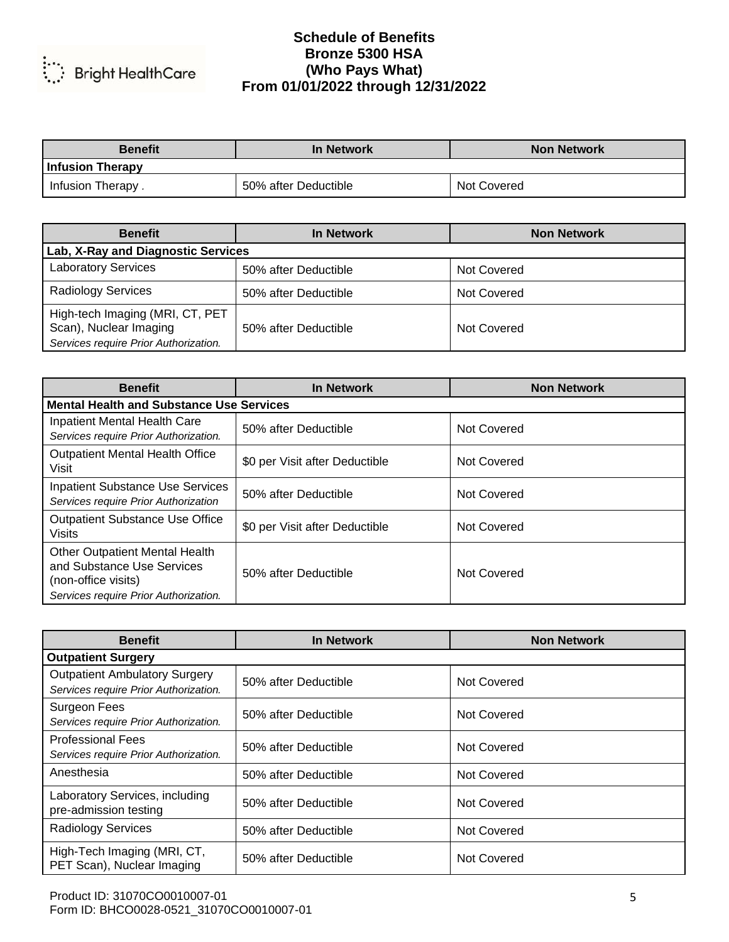

| <b>Benefit</b>    | In Network           | <b>Non Network</b> |
|-------------------|----------------------|--------------------|
| Infusion Therapy  |                      |                    |
| Infusion Therapy. | 50% after Deductible | Not Covered        |

| <b>Benefit</b>                                                                                     | <b>In Network</b>    | <b>Non Network</b> |
|----------------------------------------------------------------------------------------------------|----------------------|--------------------|
| Lab, X-Ray and Diagnostic Services                                                                 |                      |                    |
| <b>Laboratory Services</b>                                                                         | 50% after Deductible | Not Covered        |
| <b>Radiology Services</b>                                                                          | 50% after Deductible | Not Covered        |
| High-tech Imaging (MRI, CT, PET<br>Scan), Nuclear Imaging<br>Services require Prior Authorization. | 50% after Deductible | Not Covered        |

| <b>Benefit</b>                                                                                                                      | <b>In Network</b>              | <b>Non Network</b> |
|-------------------------------------------------------------------------------------------------------------------------------------|--------------------------------|--------------------|
| <b>Mental Health and Substance Use Services</b>                                                                                     |                                |                    |
| Inpatient Mental Health Care<br>Services require Prior Authorization.                                                               | 50% after Deductible           | Not Covered        |
| <b>Outpatient Mental Health Office</b><br>Visit                                                                                     | \$0 per Visit after Deductible | Not Covered        |
| <b>Inpatient Substance Use Services</b><br>Services require Prior Authorization                                                     | 50% after Deductible           | Not Covered        |
| <b>Outpatient Substance Use Office</b><br><b>Visits</b>                                                                             | \$0 per Visit after Deductible | Not Covered        |
| <b>Other Outpatient Mental Health</b><br>and Substance Use Services<br>(non-office visits)<br>Services require Prior Authorization. | 50% after Deductible           | Not Covered        |

| <b>Benefit</b>                                                                | <b>In Network</b>    | <b>Non Network</b> |
|-------------------------------------------------------------------------------|----------------------|--------------------|
| <b>Outpatient Surgery</b>                                                     |                      |                    |
| <b>Outpatient Ambulatory Surgery</b><br>Services require Prior Authorization. | 50% after Deductible | Not Covered        |
| Surgeon Fees<br>Services require Prior Authorization.                         | 50% after Deductible | Not Covered        |
| <b>Professional Fees</b><br>Services require Prior Authorization.             | 50% after Deductible | Not Covered        |
| Anesthesia                                                                    | 50% after Deductible | Not Covered        |
| Laboratory Services, including<br>pre-admission testing                       | 50% after Deductible | Not Covered        |
| <b>Radiology Services</b>                                                     | 50% after Deductible | Not Covered        |
| High-Tech Imaging (MRI, CT,<br>PET Scan), Nuclear Imaging                     | 50% after Deductible | Not Covered        |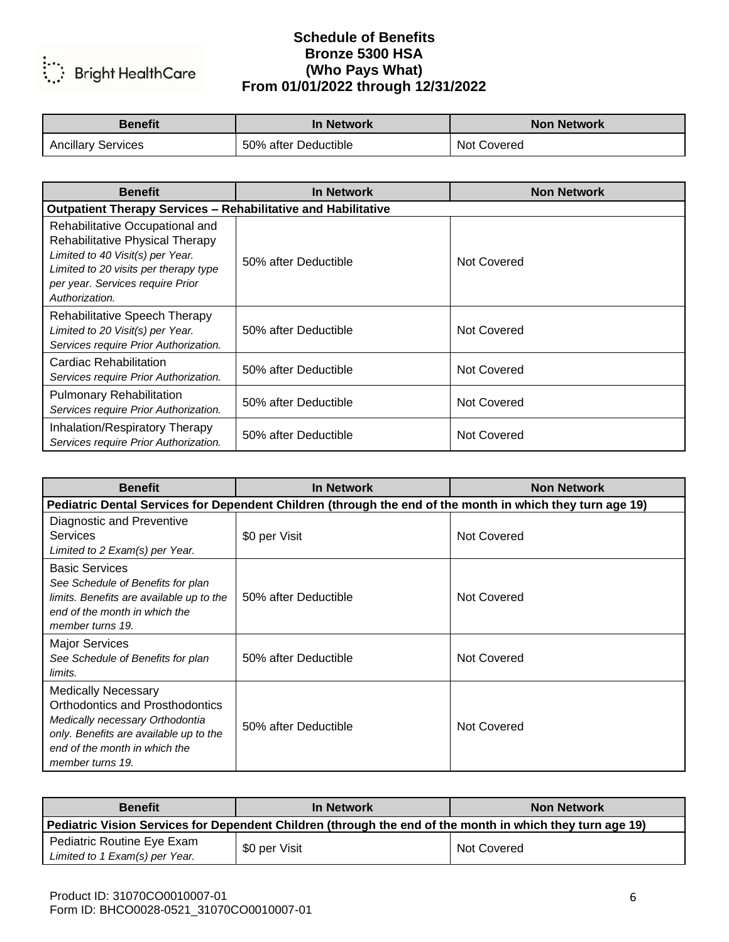

| <b>Benefit</b>            | In Network           | <b>Non Network</b> |
|---------------------------|----------------------|--------------------|
| <b>Ancillary Services</b> | 50% after Deductible | Not Covered        |

| <b>Benefit</b>                                                                                                                                                                                        | In Network           | <b>Non Network</b> |
|-------------------------------------------------------------------------------------------------------------------------------------------------------------------------------------------------------|----------------------|--------------------|
| <b>Outpatient Therapy Services - Rehabilitative and Habilitative</b>                                                                                                                                  |                      |                    |
| Rehabilitative Occupational and<br>Rehabilitative Physical Therapy<br>Limited to 40 Visit(s) per Year.<br>Limited to 20 visits per therapy type<br>per year. Services require Prior<br>Authorization. | 50% after Deductible | Not Covered        |
| <b>Rehabilitative Speech Therapy</b><br>Limited to 20 Visit(s) per Year.<br>Services require Prior Authorization.                                                                                     | 50% after Deductible | Not Covered        |
| Cardiac Rehabilitation<br>Services require Prior Authorization.                                                                                                                                       | 50% after Deductible | Not Covered        |
| <b>Pulmonary Rehabilitation</b><br>Services require Prior Authorization.                                                                                                                              | 50% after Deductible | Not Covered        |
| Inhalation/Respiratory Therapy<br>Services require Prior Authorization.                                                                                                                               | 50% after Deductible | Not Covered        |

| <b>Benefit</b>                                                                                                                                                                                         | <b>In Network</b>                                                                                         | <b>Non Network</b> |  |
|--------------------------------------------------------------------------------------------------------------------------------------------------------------------------------------------------------|-----------------------------------------------------------------------------------------------------------|--------------------|--|
|                                                                                                                                                                                                        | Pediatric Dental Services for Dependent Children (through the end of the month in which they turn age 19) |                    |  |
| Diagnostic and Preventive<br><b>Services</b><br>Limited to 2 Exam(s) per Year.                                                                                                                         | \$0 per Visit                                                                                             | Not Covered        |  |
| <b>Basic Services</b><br>See Schedule of Benefits for plan<br>limits. Benefits are available up to the<br>end of the month in which the<br>member turns 19.                                            | 50% after Deductible                                                                                      | Not Covered        |  |
| <b>Major Services</b><br>See Schedule of Benefits for plan<br>limits.                                                                                                                                  | 50% after Deductible                                                                                      | Not Covered        |  |
| <b>Medically Necessary</b><br><b>Orthodontics and Prosthodontics</b><br>Medically necessary Orthodontia<br>only. Benefits are available up to the<br>end of the month in which the<br>member turns 19. | 50% after Deductible                                                                                      | Not Covered        |  |

| <b>Benefit</b>                                                                                            | In Network    | <b>Non Network</b> |
|-----------------------------------------------------------------------------------------------------------|---------------|--------------------|
| Pediatric Vision Services for Dependent Children (through the end of the month in which they turn age 19) |               |                    |
| Pediatric Routine Eye Exam<br>Limited to 1 Exam(s) per Year.                                              | \$0 per Visit | Not Covered        |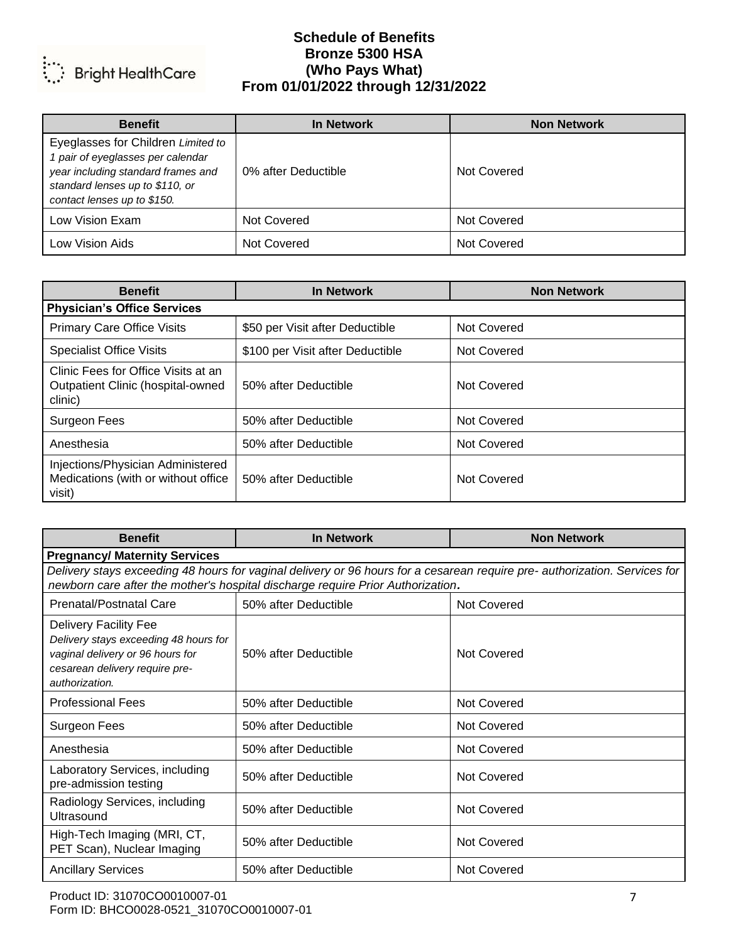

| <b>Benefit</b>                                                                                                                                                                  | <b>In Network</b>   | <b>Non Network</b> |
|---------------------------------------------------------------------------------------------------------------------------------------------------------------------------------|---------------------|--------------------|
| Eyeglasses for Children Limited to<br>1 pair of eyeglasses per calendar<br>year including standard frames and<br>standard lenses up to \$110, or<br>contact lenses up to \$150. | 0% after Deductible | Not Covered        |
| Low Vision Exam                                                                                                                                                                 | Not Covered         | Not Covered        |
| Low Vision Aids                                                                                                                                                                 | Not Covered         | Not Covered        |

| <b>Benefit</b>                                                                      | <b>In Network</b>                | <b>Non Network</b> |
|-------------------------------------------------------------------------------------|----------------------------------|--------------------|
| <b>Physician's Office Services</b>                                                  |                                  |                    |
| <b>Primary Care Office Visits</b>                                                   | \$50 per Visit after Deductible  | Not Covered        |
| <b>Specialist Office Visits</b>                                                     | \$100 per Visit after Deductible | <b>Not Covered</b> |
| Clinic Fees for Office Visits at an<br>Outpatient Clinic (hospital-owned<br>clinic) | 50% after Deductible             | Not Covered        |
| Surgeon Fees                                                                        | 50% after Deductible             | Not Covered        |
| Anesthesia                                                                          | 50% after Deductible             | Not Covered        |
| Injections/Physician Administered<br>Medications (with or without office<br>visit)  | 50% after Deductible             | Not Covered        |

| <b>Benefit</b>                                                                                                                                                                                                | <b>In Network</b>    | <b>Non Network</b> |  |
|---------------------------------------------------------------------------------------------------------------------------------------------------------------------------------------------------------------|----------------------|--------------------|--|
| <b>Pregnancy/ Maternity Services</b>                                                                                                                                                                          |                      |                    |  |
| Delivery stays exceeding 48 hours for vaginal delivery or 96 hours for a cesarean require pre- authorization. Services for<br>newborn care after the mother's hospital discharge require Prior Authorization. |                      |                    |  |
| <b>Prenatal/Postnatal Care</b>                                                                                                                                                                                | 50% after Deductible | Not Covered        |  |
| Delivery Facility Fee<br>Delivery stays exceeding 48 hours for<br>vaginal delivery or 96 hours for<br>cesarean delivery require pre-<br>authorization.                                                        | 50% after Deductible | Not Covered        |  |
| <b>Professional Fees</b>                                                                                                                                                                                      | 50% after Deductible | Not Covered        |  |
| Surgeon Fees                                                                                                                                                                                                  | 50% after Deductible | Not Covered        |  |
| Anesthesia                                                                                                                                                                                                    | 50% after Deductible | <b>Not Covered</b> |  |
| Laboratory Services, including<br>pre-admission testing                                                                                                                                                       | 50% after Deductible | Not Covered        |  |
| Radiology Services, including<br>Ultrasound                                                                                                                                                                   | 50% after Deductible | Not Covered        |  |
| High-Tech Imaging (MRI, CT,<br>PET Scan), Nuclear Imaging                                                                                                                                                     | 50% after Deductible | <b>Not Covered</b> |  |
| <b>Ancillary Services</b>                                                                                                                                                                                     | 50% after Deductible | <b>Not Covered</b> |  |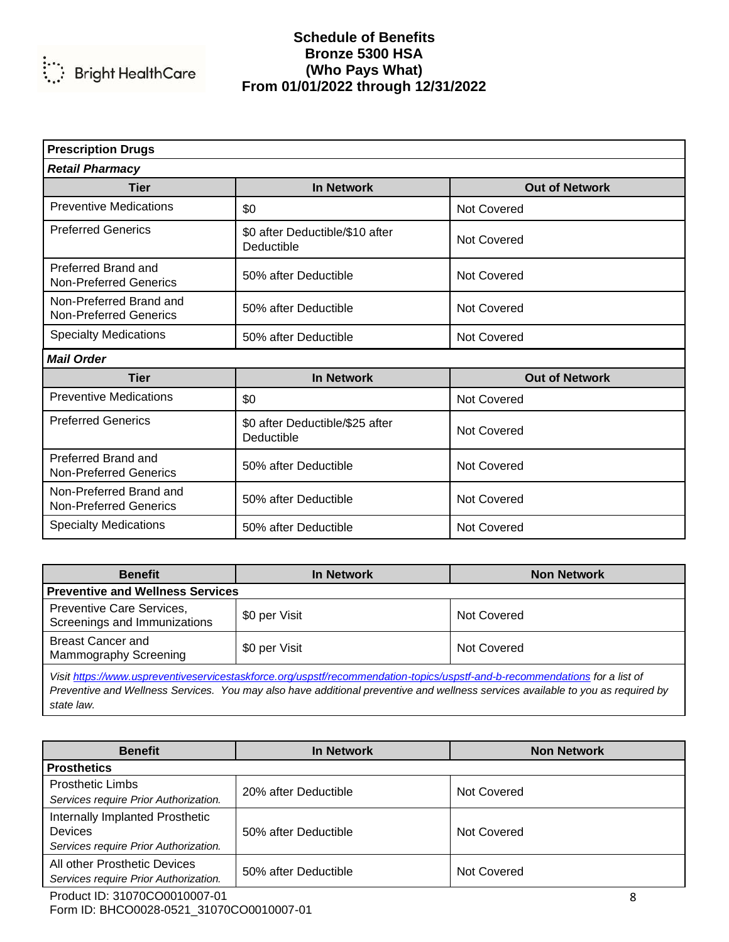

| <b>Prescription Drugs</b>                                |                                               |                       |  |
|----------------------------------------------------------|-----------------------------------------------|-----------------------|--|
| <b>Retail Pharmacy</b>                                   |                                               |                       |  |
| <b>Tier</b>                                              | <b>In Network</b>                             | <b>Out of Network</b> |  |
| <b>Preventive Medications</b>                            | \$0                                           | Not Covered           |  |
| <b>Preferred Generics</b>                                | \$0 after Deductible/\$10 after<br>Deductible | Not Covered           |  |
| Preferred Brand and<br><b>Non-Preferred Generics</b>     | 50% after Deductible                          | Not Covered           |  |
| Non-Preferred Brand and<br><b>Non-Preferred Generics</b> | 50% after Deductible                          | <b>Not Covered</b>    |  |
| <b>Specialty Medications</b>                             | 50% after Deductible                          | Not Covered           |  |
| <b>Mail Order</b>                                        |                                               |                       |  |
| <b>Tier</b>                                              | <b>In Network</b>                             | <b>Out of Network</b> |  |
| <b>Preventive Medications</b>                            | \$0                                           | <b>Not Covered</b>    |  |
| <b>Preferred Generics</b>                                | \$0 after Deductible/\$25 after<br>Deductible | <b>Not Covered</b>    |  |
| Preferred Brand and<br><b>Non-Preferred Generics</b>     | 50% after Deductible                          | Not Covered           |  |
| Non-Preferred Brand and<br><b>Non-Preferred Generics</b> | 50% after Deductible                          | Not Covered           |  |
| <b>Specialty Medications</b>                             | 50% after Deductible                          | Not Covered           |  |

| <b>Benefit</b>                                                                                                                                                                                                                                                 | <b>In Network</b> | <b>Non Network</b> |
|----------------------------------------------------------------------------------------------------------------------------------------------------------------------------------------------------------------------------------------------------------------|-------------------|--------------------|
| Preventive and Wellness Services                                                                                                                                                                                                                               |                   |                    |
| Preventive Care Services,<br>Screenings and Immunizations                                                                                                                                                                                                      | \$0 per Visit     | Not Covered        |
| <b>Breast Cancer and</b><br>Mammography Screening                                                                                                                                                                                                              | \$0 per Visit     | Not Covered        |
| Visit https://www.uspreventiveservicestaskforce.org/uspstf/recommendation-topics/uspstf-and-b-recommendations for a list of<br>Preventive and Wellness Services. You may also have additional preventive and wellness services available to you as required by |                   |                    |

*Preventive and Wellness Services. You may also have additional preventive and wellness services available to you as required by state law.*

| <b>Benefit</b>                                                                             | <b>In Network</b>    | <b>Non Network</b> |
|--------------------------------------------------------------------------------------------|----------------------|--------------------|
| <b>Prosthetics</b>                                                                         |                      |                    |
| <b>Prosthetic Limbs</b><br>Services require Prior Authorization.                           | 20% after Deductible | Not Covered        |
| Internally Implanted Prosthetic<br><b>Devices</b><br>Services require Prior Authorization. | 50% after Deductible | Not Covered        |
| All other Prosthetic Devices<br>Services require Prior Authorization.                      | 50% after Deductible | Not Covered        |